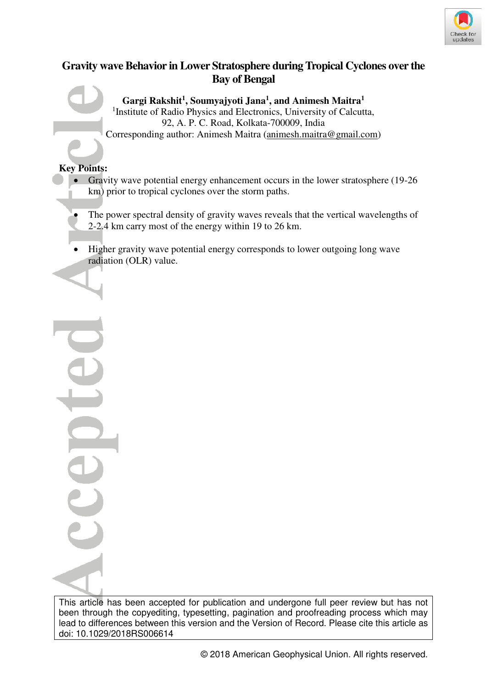

# **Gravity wave Behavior in Lower Stratosphere during Tropical Cyclones over the Bay of Bengal**

**Gargi Rakshit<sup>1</sup> , Soumyajyoti Jana<sup>1</sup> , and Animesh Maitra<sup>1</sup>** <sup>1</sup> Institute of Radio Physics and Electronics, University of Calcutta, 92, A. P. C. Road, Kolkata-700009, India Corresponding author: Animesh Maitra (animesh.maitra@gmail.com)

# **Key Points:**

í

- Gravity wave potential energy enhancement occurs in the lower stratosphere (19-26) km) prior to tropical cyclones over the storm paths.
- The power spectral density of gravity waves reveals that the vertical wavelengths of 2-2.4 km carry most of the energy within 19 to 26 km.
- Higher gravity wave potential energy corresponds to lower outgoing long wave radiation (OLR) value.

This article has been accepted for publication and undergone full peer review but has not been through the copyediting, typesetting, pagination and proofreading process which may lead to differences between this version and the Version of Record. Please cite this article as doi: 10.1029/2018RS006614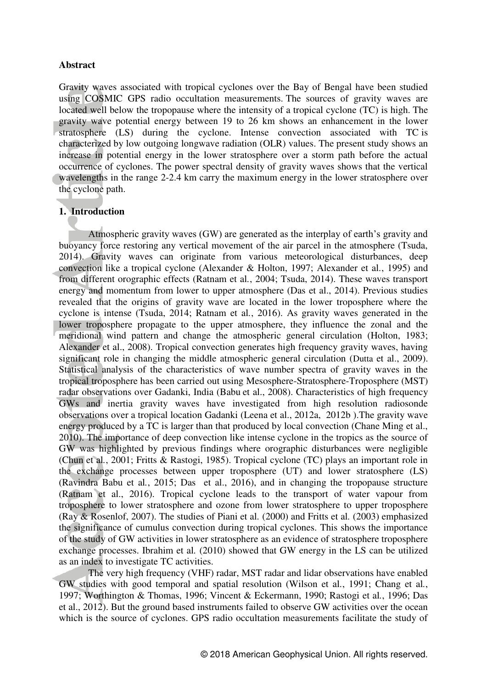## **Abstract**

Gravity waves associated with tropical cyclones over the Bay of Bengal have been studied using COSMIC GPS radio occultation measurements. The sources of gravity waves are located well below the tropopause where the intensity of a tropical cyclone (TC) is high. The gravity wave potential energy between 19 to 26 km shows an enhancement in the lower stratosphere (LS) during the cyclone. Intense convection associated with TC is characterized by low outgoing longwave radiation (OLR) values. The present study shows an increase in potential energy in the lower stratosphere over a storm path before the actual occurrence of cyclones. The power spectral density of gravity waves shows that the vertical wavelengths in the range 2-2.4 km carry the maximum energy in the lower stratosphere over the cyclone path.

## **1. Introduction**

Atmospheric gravity waves (GW) are generated as the interplay of earth's gravity and buoyancy force restoring any vertical movement of the air parcel in the atmosphere (Tsuda, 2014). Gravity waves can originate from various meteorological disturbances, deep convection like a tropical cyclone (Alexander & Holton, 1997; Alexander et al*.*, 1995) and from different orographic effects (Ratnam et al*.*, 2004; Tsuda, 2014). These waves transport energy and momentum from lower to upper atmosphere (Das et al., 2014). Previous studies revealed that the origins of gravity wave are located in the lower troposphere where the cyclone is intense (Tsuda, 2014; Ratnam et al*.*, 2016). As gravity waves generated in the lower troposphere propagate to the upper atmosphere, they influence the zonal and the meridional wind pattern and change the atmospheric general circulation (Holton, 1983; Alexander et al., 2008). Tropical convection generates high frequency gravity waves, having significant role in changing the middle atmospheric general circulation (Dutta et al., 2009). Statistical analysis of the characteristics of wave number spectra of gravity waves in the tropical troposphere has been carried out using Mesosphere-Stratosphere-Troposphere (MST) radar observations over Gadanki, India (Babu et al., 2008). Characteristics of high frequency GWs and inertia gravity waves have investigated from high resolution radiosonde observations over a tropical location Gadanki (Leena et al., 2012a, 2012b ).The gravity wave energy produced by a TC is larger than that produced by local convection (Chane Ming et al., 2010). The importance of deep convection like intense cyclone in the tropics as the source of GW was highlighted by previous findings where orographic disturbances were negligible (Chun et al*.*, 2001; Fritts & Rastogi, 1985). Tropical cyclone (TC) plays an important role in the exchange processes between upper troposphere (UT) and lower stratosphere (LS) (Ravindra Babu et al*.*, 2015; Das et al., 2016), and in changing the tropopause structure (Ratnam et al., 2016). Tropical cyclone leads to the transport of water vapour from troposphere to lower stratosphere and ozone from lower stratosphere to upper troposphere (Ray & Rosenlof, 2007). The studies of Piani et al*.* (2000) and Fritts et al*.* (2003) emphasized the significance of cumulus convection during tropical cyclones. This shows the importance of the study of GW activities in lower stratosphere as an evidence of stratosphere troposphere exchange processes. Ibrahim et al*.* (2010) showed that GW energy in the LS can be utilized as an index to investigate TC activities.

The very high frequency (VHF) radar, MST radar and lidar observations have enabled GW studies with good temporal and spatial resolution (Wilson et al*.*, 1991; Chang et al*.*, 1997; Worthington & Thomas, 1996; Vincent & Eckermann, 1990; Rastogi et al*.*, 1996; Das et al., 2012). But the ground based instruments failed to observe GW activities over the ocean which is the source of cyclones. GPS radio occultation measurements facilitate the study of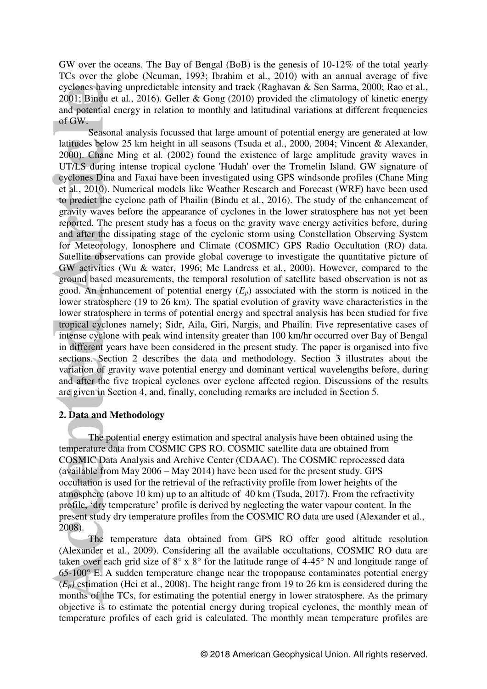GW over the oceans. The Bay of Bengal (BoB) is the genesis of 10-12% of the total yearly TCs over the globe (Neuman, 1993; Ibrahim et al*.*, 2010) with an annual average of five cyclones having unpredictable intensity and track (Raghavan & Sen Sarma, 2000; Rao et al*.*, 2001; Bindu et al*.*, 2016). Geller & Gong (2010) provided the climatology of kinetic energy and potential energy in relation to monthly and latitudinal variations at different frequencies of GW.

Seasonal analysis focussed that large amount of potential energy are generated at low latitudes below 25 km height in all seasons (Tsuda et al*.*, 2000, 2004; Vincent & Alexander, 2000). Chane Ming et al*.* (2002) found the existence of large amplitude gravity waves in UT/LS during intense tropical cyclone 'Hudah' over the Tromelin Island. GW signature of cyclones Dina and Faxai have been investigated using GPS windsonde profiles (Chane Ming et al*.*, 2010). Numerical models like Weather Research and Forecast (WRF) have been used to predict the cyclone path of Phailin (Bindu et al*.*, 2016). The study of the enhancement of gravity waves before the appearance of cyclones in the lower stratosphere has not yet been reported. The present study has a focus on the gravity wave energy activities before, during and after the dissipating stage of the cyclonic storm using Constellation Observing System for Meteorology, Ionosphere and Climate (COSMIC) GPS Radio Occultation (RO) data. Satellite observations can provide global coverage to investigate the quantitative picture of GW activities (Wu & water, 1996; Mc Landress et al*.*, 2000). However, compared to the ground based measurements, the temporal resolution of satellite based observation is not as good. An enhancement of potential energy (*Ep*) associated with the storm is noticed in the lower stratosphere (19 to 26 km). The spatial evolution of gravity wave characteristics in the lower stratosphere in terms of potential energy and spectral analysis has been studied for five tropical cyclones namely; Sidr, Aila, Giri, Nargis, and Phailin. Five representative cases of intense cyclone with peak wind intensity greater than 100 km/hr occurred over Bay of Bengal in different years have been considered in the present study. The paper is organised into five sections. Section 2 describes the data and methodology. Section 3 illustrates about the variation of gravity wave potential energy and dominant vertical wavelengths before, during and after the five tropical cyclones over cyclone affected region. Discussions of the results are given in Section 4, and, finally, concluding remarks are included in Section 5.

### **2. Data and Methodology**

 The potential energy estimation and spectral analysis have been obtained using the temperature data from COSMIC GPS RO. COSMIC satellite data are obtained from COSMIC Data Analysis and Archive Center (CDAAC). The COSMIC reprocessed data (available from May 2006 – May 2014) have been used for the present study. GPS occultation is used for the retrieval of the refractivity profile from lower heights of the atmosphere (above 10 km) up to an altitude of 40 km (Tsuda, 2017). From the refractivity profile, 'dry temperature' profile is derived by neglecting the water vapour content. In the present study dry temperature profiles from the COSMIC RO data are used (Alexander et al., 2008).

The temperature data obtained from GPS RO offer good altitude resolution (Alexander et al., 2009). Considering all the available occultations, COSMIC RO data are taken over each grid size of 8° x 8° for the latitude range of 4-45° N and longitude range of 65-100° E. A sudden temperature change near the tropopause contaminates potential energy  $(E_p)$  estimation (Hei et al., 2008). The height range from 19 to 26 km is considered during the months of the TCs, for estimating the potential energy in lower stratosphere. As the primary objective is to estimate the potential energy during tropical cyclones, the monthly mean of temperature profiles of each grid is calculated. The monthly mean temperature profiles are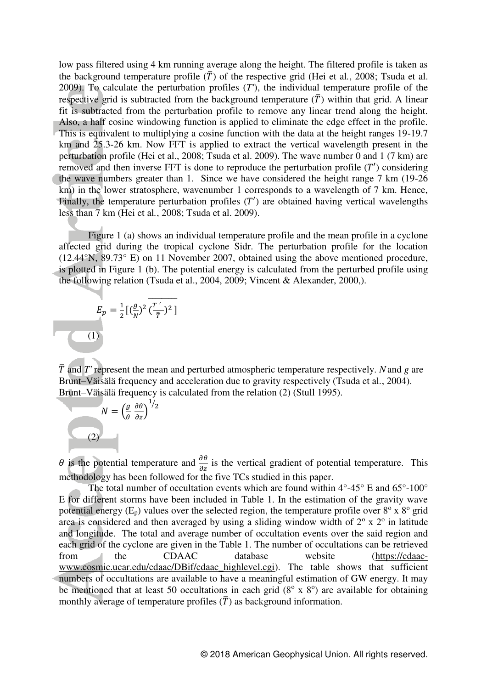low pass filtered using 4 km running average along the height. The filtered profile is taken as the background temperature profile  $(\bar{T})$  of the respective grid (Hei et al., 2008; Tsuda et al. 2009). To calculate the perturbation profiles (*T'*), the individual temperature profile of the respective grid is subtracted from the background temperature  $(\bar{T})$  within that grid. A linear fit is subtracted from the perturbation profile to remove any linear trend along the height. Also, a half cosine windowing function is applied to eliminate the edge effect in the profile. This is equivalent to multiplying a cosine function with the data at the height ranges 19-19.7 km and 25.3-26 km. Now FFT is applied to extract the vertical wavelength present in the perturbation profile (Hei et al., 2008; Tsuda et al. 2009). The wave number 0 and 1 (7 km) are removed and then inverse FFT is done to reproduce the perturbation profile  $(T')$  considering the wave numbers greater than 1. Since we have considered the height range 7 km (19-26 km) in the lower stratosphere, wavenumber 1 corresponds to a wavelength of 7 km. Hence, Finally, the temperature perturbation profiles  $(T')$  are obtained having vertical wavelengths less than 7 km (Hei et al*.*, 2008; Tsuda et al. 2009).

Figure 1 (a) shows an individual temperature profile and the mean profile in a cyclone affected grid during the tropical cyclone Sidr. The perturbation profile for the location (12.44°N, 89.73° E) on 11 November 2007, obtained using the above mentioned procedure, is plotted in Figure 1 (b). The potential energy is calculated from the perturbed profile using the following relation (Tsuda et al., 2004, 2009; Vincent & Alexander, 2000,).

$$
E_p = \frac{1}{2} \left[ \left( \frac{g}{N} \right)^2 \overline{\left( \frac{T'}{\overline{T}} \right)^2} \right]
$$
\n(1)

 $\overline{T}$  and  $T'$  represent the mean and perturbed atmospheric temperature respectively. *N* and *g* are Brunt–Väisälä frequency and acceleration due to gravity respectively (Tsuda et al*.*, 2004). Brunt–Väisälä frequency is calculated from the relation (2) (Stull 1995).



 $\theta$  is the potential temperature and  $\frac{\partial \theta}{\partial z}$  is the vertical gradient of potential temperature. This methodology has been followed for the five TCs studied in this paper.

The total number of occultation events which are found within  $4^{\circ}$ - $45^{\circ}$  E and  $65^{\circ}$ - $100^{\circ}$ E for different storms have been included in Table 1. In the estimation of the gravity wave potential energy  $(E_p)$  values over the selected region, the temperature profile over  $8^\circ$  x  $8^\circ$  grid area is considered and then averaged by using a sliding window width of  $2^{\circ}$  x  $2^{\circ}$  in latitude and longitude. The total and average number of occultation events over the said region and each grid of the cyclone are given in the Table 1. The number of occultations can be retrieved from the CDAAC database website [\(https://cdaac](https://cdaac-www.cosmic.ucar.edu/cdaac/DBif/cdaac_highlevel.cgi)[www.cosmic.ucar.edu/cdaac/DBif/cdaac\\_highlevel.cgi\)](https://cdaac-www.cosmic.ucar.edu/cdaac/DBif/cdaac_highlevel.cgi). The table shows that sufficient numbers of occultations are available to have a meaningful estimation of GW energy. It may be mentioned that at least 50 occultations in each grid  $(8^\circ \times 8^\circ)$  are available for obtaining monthly average of temperature profiles  $(\overline{T})$  as background information.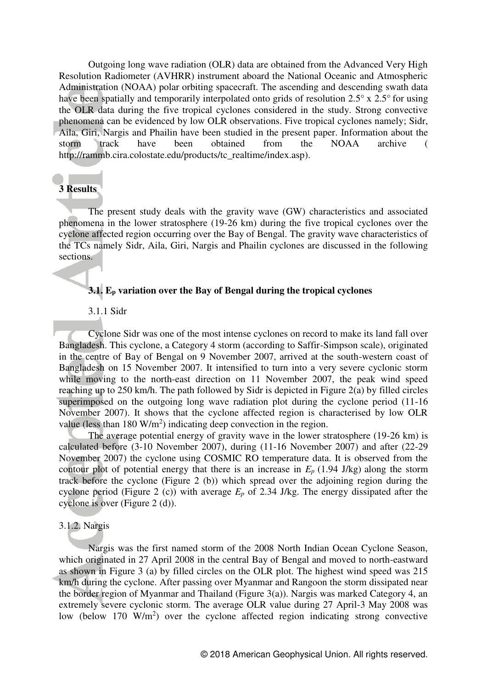Outgoing long wave radiation (OLR) data are obtained from the Advanced Very High Resolution Radiometer (AVHRR) instrument aboard the National Oceanic and Atmospheric Administration (NOAA) polar orbiting spacecraft. The ascending and descending swath data have been spatially and temporarily interpolated onto grids of resolution 2.5° x 2.5° for using the OLR data during the five tropical cyclones considered in the study. Strong convective phenomena can be evidenced by low OLR observations. Five tropical cyclones namely; Sidr, Aila, Giri, Nargis and Phailin have been studied in the present paper. Information about the storm track have been obtained from the NOAA archive storm track have been obtained from the NOAA archive ( http://rammb.cira.colostate.edu/products/tc\_realtime/index.asp).

## **3 Results**

 The present study deals with the gravity wave (GW) characteristics and associated phenomena in the lower stratosphere (19-26 km) during the five tropical cyclones over the cyclone affected region occurring over the Bay of Bengal. The gravity wave characteristics of the TCs namely Sidr, Aila, Giri, Nargis and Phailin cyclones are discussed in the following sections.

### **3.1. E<sup>p</sup> variation over the Bay of Bengal during the tropical cyclones**

### 3.1.1 Sidr

 Cyclone Sidr was one of the most intense cyclones on record to make its land fall over Bangladesh. This cyclone, a Category 4 storm (according to Saffir-Simpson scale), originated in the centre of Bay of Bengal on 9 November 2007, arrived at the south-western coast of Bangladesh on 15 November 2007. It intensified to turn into a very severe cyclonic storm while moving to the north-east direction on 11 November 2007, the peak wind speed reaching up to 250 km/h. The path followed by Sidr is depicted in Figure 2(a) by filled circles superimposed on the outgoing long wave radiation plot during the cyclone period (11-16) November 2007). It shows that the cyclone affected region is characterised by low OLR value (less than  $180 \text{ W/m}^2$ ) indicating deep convection in the region.

 The average potential energy of gravity wave in the lower stratosphere (19-26 km) is calculated before (3-10 November 2007), during (11-16 November 2007) and after (22-29 November 2007) the cyclone using COSMIC RO temperature data. It is observed from the contour plot of potential energy that there is an increase in  $E_p$  (1.94 J/kg) along the storm track before the cyclone (Figure 2 (b)) which spread over the adjoining region during the cyclone period (Figure 2 (c)) with average *Ep* of 2.34 J/kg. The energy dissipated after the cyclone is over (Figure 2 (d)).

### 3.1.2. Nargis

 Nargis was the first named storm of the 2008 North Indian Ocean Cyclone Season, which originated in 27 April 2008 in the central Bay of Bengal and moved to north-eastward as shown in Figure 3 (a) by filled circles on the OLR plot. The highest wind speed was 215 km/h during the cyclone. After passing over Myanmar and Rangoon the storm dissipated near the border region of Myanmar and Thailand (Figure 3(a)). Nargis was marked Category 4, an extremely severe cyclonic storm. The average OLR value during 27 April-3 May 2008 was low (below 170  $W/m<sup>2</sup>$ ) over the cyclone affected region indicating strong convective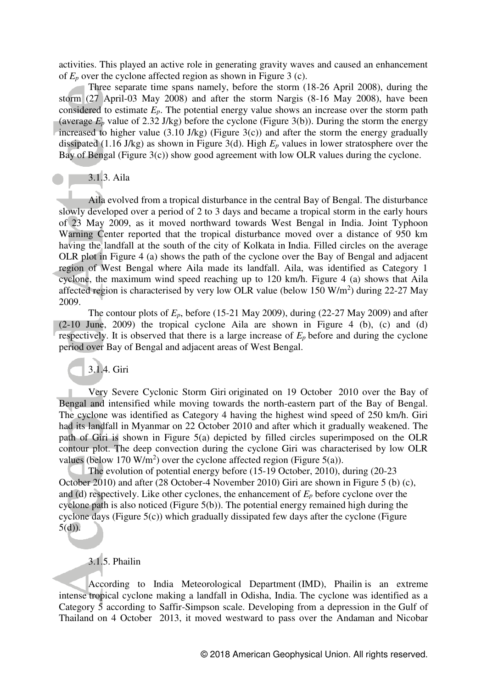activities. This played an active role in generating gravity waves and caused an enhancement of *Ep* over the cyclone affected region as shown in Figure 3 (c).

 Three separate time spans namely, before the storm (18-26 April 2008), during the storm (27 April-03 May 2008) and after the storm Nargis (8-16 May 2008), have been considered to estimate  $E_p$ . The potential energy value shows an increase over the storm path (average  $E_p$  value of 2.32 J/kg) before the cyclone (Figure 3(b)). During the storm the energy increased to higher value (3.10 J/kg) (Figure 3(c)) and after the storm the energy gradually dissipated (1.16 J/kg) as shown in Figure 3(d). High *E<sup>p</sup>* values in lower stratosphere over the Bay of Bengal (Figure 3(c)) show good agreement with low OLR values during the cyclone.

# 3.1.3. Aila

Aila evolved from a tropical disturbance in the central Bay of Bengal. The disturbance slowly developed over a period of 2 to 3 days and became a tropical storm in the early hours of 23 May 2009, as it moved northward towards West Bengal in India. Joint Typhoon Warning Center reported that the tropical disturbance moved over a distance of 950 km having the landfall at the south of the city of Kolkata in India. Filled circles on the average OLR plot in Figure 4 (a) shows the path of the cyclone over the Bay of Bengal and adjacent region of West Bengal where Aila made its landfall. Aila, was identified as Category 1 cyclone, the maximum wind speed reaching up to 120 km/h. Figure 4 (a) shows that Aila affected region is characterised by very low OLR value (below 150 W/m<sup>2</sup>) during 22-27 May 2009.

The contour plots of  $E_p$ , before (15-21 May 2009), during (22-27 May 2009) and after (2-10 June, 2009) the tropical cyclone Aila are shown in Figure 4 (b), (c) and (d) respectively. It is observed that there is a large increase of *E<sup>p</sup>* before and during the cyclone period over Bay of Bengal and adjacent areas of West Bengal.

3.1.4. Giri

 Very Severe Cyclonic Storm Giri originated on 19 October 2010 over the Bay of Bengal and intensified while moving towards the north-eastern part of the Bay of Bengal. The cyclone was identified as Category 4 having the highest wind speed of 250 km/h. Giri had its landfall in Myanmar on 22 October 2010 and after which it gradually weakened. The path of Giri is shown in Figure 5(a) depicted by filled circles superimposed on the OLR contour plot. The deep convection during the cyclone Giri was characterised by low OLR values (below 170 W/m<sup>2</sup>) over the cyclone affected region (Figure 5(a)).

The evolution of potential energy before (15-19 October, 2010), during (20-23 October 2010) and after (28 October-4 November 2010) Giri are shown in Figure 5 (b) (c), and (d) respectively. Like other cyclones, the enhancement of *E<sup>p</sup>* before cyclone over the cyclone path is also noticed (Figure 5(b)). The potential energy remained high during the cyclone days (Figure 5(c)) which gradually dissipated few days after the cyclone (Figure  $5(d)$ ).

# 3.1.5. Phailin

According to India Meteorological Department (IMD), Phailin is an extreme intense tropical cyclone making a landfall in Odisha, India. The cyclone was identified as a Category 5 according to Saffir-Simpson scale. Developing from a depression in the Gulf of Thailand on 4 October 2013, it moved westward to pass over the Andaman and Nicobar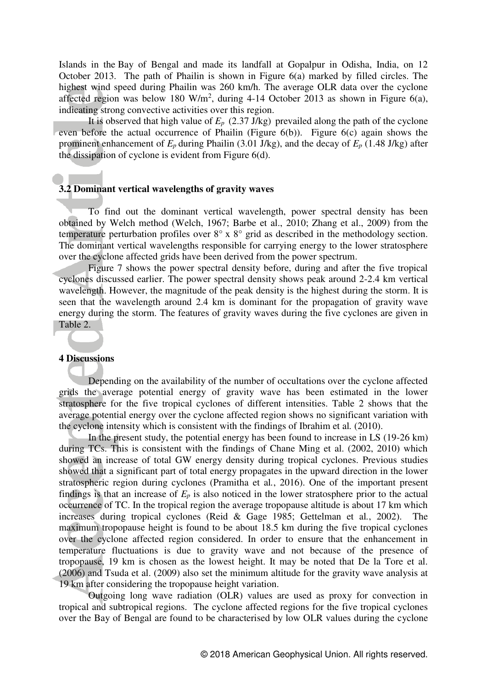Islands in the Bay of Bengal and made its landfall at Gopalpur in Odisha, India, on 12 October 2013. The path of Phailin is shown in Figure 6(a) marked by filled circles. The highest wind speed during Phailin was 260 km/h. The average OLR data over the cyclone affected region was below 180 W/m<sup>2</sup>, during 4-14 October 2013 as shown in Figure 6(a), indicating strong convective activities over this region.

It is observed that high value of  $E_p$  (2.37 J/kg) prevailed along the path of the cyclone even before the actual occurrence of Phailin (Figure  $6(b)$ ). Figure  $6(c)$  again shows the prominent enhancement of  $E_p$  during Phailin (3.01 J/kg), and the decay of  $E_p$  (1.48 J/kg) after the dissipation of cyclone is evident from Figure 6(d).

### **3.2 Dominant vertical wavelengths of gravity waves**

To find out the dominant vertical wavelength, power spectral density has been obtained by Welch method (Welch, 1967; Barbe et al., 2010; Zhang et al., 2009) from the temperature perturbation profiles over 8° x 8° grid as described in the methodology section. The dominant vertical wavelengths responsible for carrying energy to the lower stratosphere over the cyclone affected grids have been derived from the power spectrum.

Figure 7 shows the power spectral density before, during and after the five tropical cyclones discussed earlier. The power spectral density shows peak around 2-2.4 km vertical wavelength. However, the magnitude of the peak density is the highest during the storm. It is seen that the wavelength around 2.4 km is dominant for the propagation of gravity wave energy during the storm. The features of gravity waves during the five cyclones are given in Table 2.

### **4 Discussions**

Depending on the availability of the number of occultations over the cyclone affected grids the average potential energy of gravity wave has been estimated in the lower stratosphere for the five tropical cyclones of different intensities. Table 2 shows that the average potential energy over the cyclone affected region shows no significant variation with the cyclone intensity which is consistent with the findings of Ibrahim et al*.* (2010).

In the present study, the potential energy has been found to increase in LS (19-26 km) during TCs. This is consistent with the findings of Chane Ming et al. (2002, 2010) which showed an increase of total GW energy density during tropical cyclones. Previous studies showed that a significant part of total energy propagates in the upward direction in the lower stratospheric region during cyclones (Pramitha et al*.*, 2016). One of the important present findings is that an increase of  $E_p$  is also noticed in the lower stratosphere prior to the actual occurrence of TC. In the tropical region the average tropopause altitude is about 17 km which increases during tropical cyclones (Reid & Gage 1985; Gettelman et al*.*, 2002). The maximum tropopause height is found to be about 18.5 km during the five tropical cyclones over the cyclone affected region considered. In order to ensure that the enhancement in temperature fluctuations is due to gravity wave and not because of the presence of tropopause, 19 km is chosen as the lowest height. It may be noted that De la Tore et al. (2006) and Tsuda et al. (2009) also set the minimum altitude for the gravity wave analysis at 19 km after considering the tropopause height variation.

Outgoing long wave radiation (OLR) values are used as proxy for convection in tropical and subtropical regions. The cyclone affected regions for the five tropical cyclones over the Bay of Bengal are found to be characterised by low OLR values during the cyclone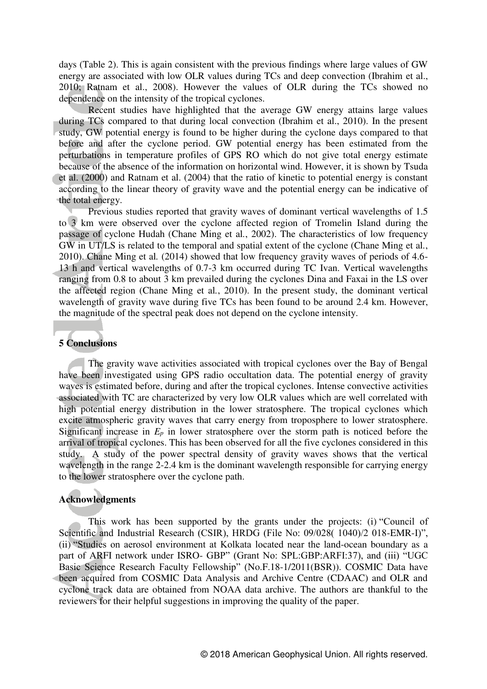days (Table 2). This is again consistent with the previous findings where large values of GW energy are associated with low OLR values during TCs and deep convection (Ibrahim et al., 2010; Ratnam et al., 2008). However the values of OLR during the TCs showed no dependence on the intensity of the tropical cyclones.

Recent studies have highlighted that the average GW energy attains large values during TCs compared to that during local convection (Ibrahim et al., 2010). In the present study, GW potential energy is found to be higher during the cyclone days compared to that before and after the cyclone period. GW potential energy has been estimated from the perturbations in temperature profiles of GPS RO which do not give total energy estimate because of the absence of the information on horizontal wind. However, it is shown by Tsuda et al. (2000) and Ratnam et al. (2004) that the ratio of kinetic to potential energy is constant according to the linear theory of gravity wave and the potential energy can be indicative of the total energy.

 Previous studies reported that gravity waves of dominant vertical wavelengths of 1.5 to 3 km were observed over the cyclone affected region of Tromelin Island during the passage of cyclone Hudah (Chane Ming et al*.*, 2002). The characteristics of low frequency GW in UT/LS is related to the temporal and spatial extent of the cyclone (Chane Ming et al*.*, 2010). Chane Ming et al*.* (2014) showed that low frequency gravity waves of periods of 4.6- 13 h and vertical wavelengths of 0.7-3 km occurred during TC Ivan. Vertical wavelengths ranging from 0.8 to about 3 km prevailed during the cyclones Dina and Faxai in the LS over the affected region (Chane Ming et al*.*, 2010). In the present study, the dominant vertical wavelength of gravity wave during five TCs has been found to be around 2.4 km. However, the magnitude of the spectral peak does not depend on the cyclone intensity.

#### **5 Conclusions**

 The gravity wave activities associated with tropical cyclones over the Bay of Bengal have been investigated using GPS radio occultation data. The potential energy of gravity waves is estimated before, during and after the tropical cyclones. Intense convective activities associated with TC are characterized by very low OLR values which are well correlated with high potential energy distribution in the lower stratosphere. The tropical cyclones which excite atmospheric gravity waves that carry energy from troposphere to lower stratosphere. Significant increase in  $E_p$  in lower stratosphere over the storm path is noticed before the arrival of tropical cyclones. This has been observed for all the five cyclones considered in this study. A study of the power spectral density of gravity waves shows that the vertical wavelength in the range 2-2.4 km is the dominant wavelength responsible for carrying energy to the lower stratosphere over the cyclone path.

### **Acknowledgments**

This work has been supported by the grants under the projects: (i) "Council of Scientific and Industrial Research (CSIR), HRDG (File No: 09/028( 1040)/2 018-EMR-I)", (ii) "Studies on aerosol environment at Kolkata located near the land-ocean boundary as a part of ARFI network under ISRO- GBP" (Grant No: SPL:GBP:ARFI:37), and (iii) "UGC Basic Science Research Faculty Fellowship" (No.F.18-1/2011(BSR)). COSMIC Data have been acquired from COSMIC Data Analysis and Archive Centre (CDAAC) and OLR and cyclone track data are obtained from NOAA data archive. The authors are thankful to the reviewers for their helpful suggestions in improving the quality of the paper.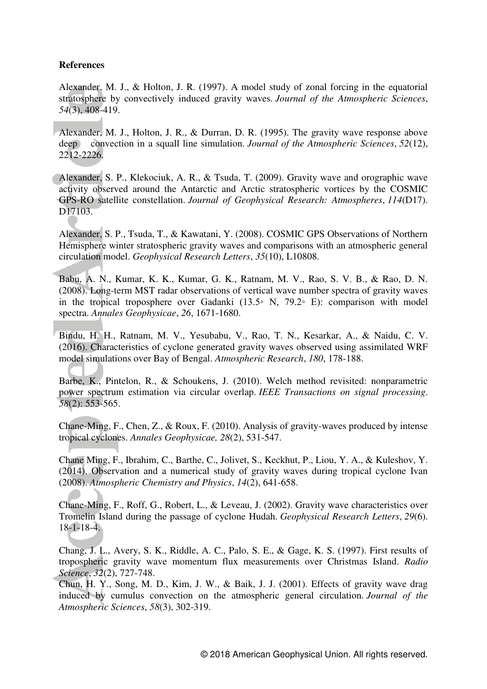## **References**

Alexander, M. J., & Holton, J. R. (1997). A model study of zonal forcing in the equatorial stratosphere by convectively induced gravity waves. *Journal of the Atmospheric Sciences*, *54*(3), 408-419.

Alexander, M. J., Holton, J. R., & Durran, D. R. (1995). The gravity wave response above deep convection in a squall line simulation. *Journal of the Atmospheric Sciences*, *52*(12), 2212-2226.

Alexander, S. P., Klekociuk, A. R., & Tsuda, T. (2009). Gravity wave and orographic wave activity observed around the Antarctic and Arctic stratospheric vortices by the COSMIC GPS-RO satellite constellation. *Journal of Geophysical Research: Atmospheres*, *114*(D17). D<sub>17103</sub>.

Alexander, S. P., Tsuda, T., & Kawatani, Y. (2008). COSMIC GPS Observations of Northern Hemisphere winter stratospheric gravity waves and comparisons with an atmospheric general circulation model. *Geophysical Research Letters*, *35*(10), L10808.

Babu, A. N., Kumar, K. K., Kumar, G. K., Ratnam, M. V., Rao, S. V. B., & Rao, D. N. (2008). Long-term MST radar observations of vertical wave number spectra of gravity waves in the tropical troposphere over Gadanki (13.5◦ N, 79.2◦ E): comparison with model spectra. *Annales Geophysicae*, *26*, 1671-1680.

Bindu, H. H., Ratnam, M. V., Yesubabu, V., Rao, T. N., Kesarkar, A., & Naidu, C. V. (2016). Characteristics of cyclone generated gravity waves observed using assimilated WRF model simulations over Bay of Bengal. *Atmospheric Research*, *180*, 178-188.

Barbe, K., Pintelon, R., & Schoukens, J. (2010). Welch method revisited: nonparametric power spectrum estimation via circular overlap. *IEEE Transactions on signal processing*. *58*(2): 553-565.

Chane-Ming, F., Chen, Z., & Roux, F. (2010). Analysis of gravity-waves produced by intense tropical cyclones. *Annales Geophysicae, 28*(2), 531-547.

Chane Ming, F., Ibrahim, C., Barthe, C., Jolivet, S., Keckhut, P., Liou, Y. A., & Kuleshov, Y. (2014). Observation and a numerical study of gravity waves during tropical cyclone Ivan (2008). *Atmospheric Chemistry and Physics*, *14*(2), 641-658.

Chane-Ming, F., Roff, G., Robert, L., & Leveau, J. (2002). Gravity wave characteristics over Tromelin Island during the passage of cyclone Hudah. *Geophysical Research Letters*, *29*(6). 18-1-18-4.

Chang, J. L., Avery, S. K., Riddle, A. C., Palo, S. E., & Gage, K. S. (1997). First results of tropospheric gravity wave momentum flux measurements over Christmas Island. *Radio Science*, *32*(2), 727-748.

Chun, H. Y., Song, M. D., Kim, J. W., & Baik, J. J. (2001). Effects of gravity wave drag induced by cumulus convection on the atmospheric general circulation. *Journal of the Atmospheric Sciences*, *58*(3), 302-319.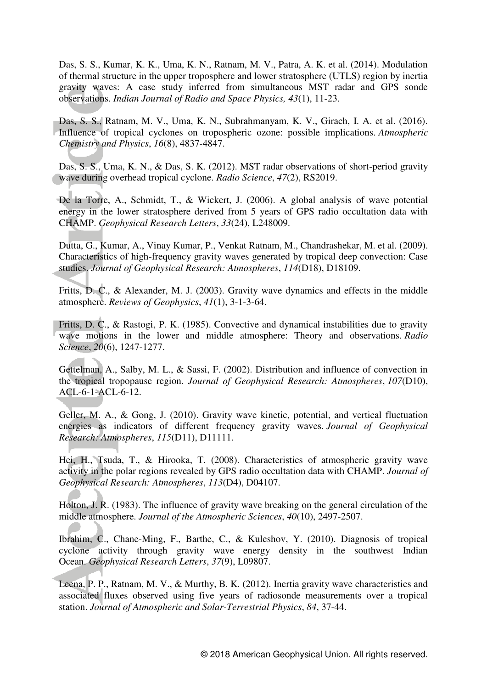Das, S. S., Kumar, K. K., Uma, K. N., Ratnam, M. V., Patra, A. K. et al. (2014). Modulation of thermal structure in the upper troposphere and lower stratosphere (UTLS) region by inertia gravity waves: A case study inferred from simultaneous MST radar and GPS sonde observations. *Indian Journal of Radio and Space Physics, 43*(1), 11-23.

Das, S. S., Ratnam, M. V., Uma, K. N., Subrahmanyam, K. V., Girach, I. A. et al. (2016). Influence of tropical cyclones on tropospheric ozone: possible implications. *Atmospheric Chemistry and Physics*, *16*(8), 4837-4847.

Das, S. S., Uma, K. N., & Das, S. K. (2012). MST radar observations of short-period gravity wave during overhead tropical cyclone. *Radio Science*, *47*(2), RS2019.

De la Torre, A., Schmidt, T., & Wickert, J. (2006). A global analysis of wave potential energy in the lower stratosphere derived from 5 years of GPS radio occultation data with CHAMP. *Geophysical Research Letters*, *33*(24), L248009.

Dutta, G., Kumar, A., Vinay Kumar, P., Venkat Ratnam, M., Chandrashekar, M. et al. (2009). Characteristics of high-frequency gravity waves generated by tropical deep convection: Case studies. *Journal of Geophysical Research: Atmospheres*, *114*(D18), D18109.

Fritts, D. C., & Alexander, M. J. (2003). Gravity wave dynamics and effects in the middle atmosphere. *Reviews of Geophysics*, *41*(1), 3-1-3-64.

Fritts, D. C., & Rastogi, P. K. (1985). Convective and dynamical instabilities due to gravity wave motions in the lower and middle atmosphere: Theory and observations. *Radio Science*, *20*(6), 1247-1277.

Gettelman, A., Salby, M. L., & Sassi, F. (2002). Distribution and influence of convection in the tropical tropopause region. *Journal of Geophysical Research: Atmospheres*, *107*(D10), ACL-6-1-ACL-6-12.

Geller, M. A., & Gong, J. (2010). Gravity wave kinetic, potential, and vertical fluctuation energies as indicators of different frequency gravity waves. *Journal of Geophysical Research: Atmospheres*, *115*(D11), D11111.

Hei, H., Tsuda, T., & Hirooka, T. (2008). Characteristics of atmospheric gravity wave activity in the polar regions revealed by GPS radio occultation data with CHAMP. *Journal of Geophysical Research: Atmospheres*, *113*(D4), D04107.

Holton, J. R. (1983). The influence of gravity wave breaking on the general circulation of the middle atmosphere. *Journal of the Atmospheric Sciences*, *40*(10), 2497-2507.

Ibrahim, C., Chane-Ming, F., Barthe, C., & Kuleshov, Y. (2010). Diagnosis of tropical cyclone activity through gravity wave energy density in the southwest Indian Ocean. *Geophysical Research Letters*, *37*(9), L09807.

Leena, P. P., Ratnam, M. V., & Murthy, B. K. (2012). Inertia gravity wave characteristics and associated fluxes observed using five years of radiosonde measurements over a tropical station. *Journal of Atmospheric and Solar-Terrestrial Physics*, *84*, 37-44.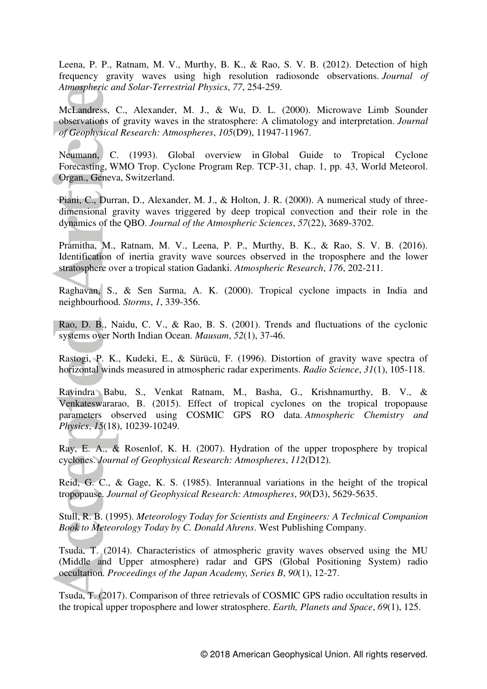Leena, P. P., Ratnam, M. V., Murthy, B. K., & Rao, S. V. B. (2012). Detection of high frequency gravity waves using high resolution radiosonde observations. *Journal of Atmospheric and Solar-Terrestrial Physics*, *77*, 254-259.

McLandress, C., Alexander, M. J., & Wu, D. L. (2000). Microwave Limb Sounder observations of gravity waves in the stratosphere: A climatology and interpretation. *Journal of Geophysical Research: Atmospheres*, *105*(D9), 11947-11967.

Neumann, C. (1993). Global overview in Global Guide to Tropical Cyclone Forecasting, WMO Trop. Cyclone Program Rep. TCP-31, chap. 1, pp. 43, World Meteorol. Organ., Geneva, Switzerland.

Piani, C., Durran, D., Alexander, M. J., & Holton, J. R. (2000). A numerical study of threedimensional gravity waves triggered by deep tropical convection and their role in the dynamics of the QBO. *Journal of the Atmospheric Sciences*, *57*(22), 3689-3702.

Pramitha, M., Ratnam, M. V., Leena, P. P., Murthy, B. K., & Rao, S. V. B. (2016). Identification of inertia gravity wave sources observed in the troposphere and the lower stratosphere over a tropical station Gadanki. *Atmospheric Research*, *176*, 202-211.

Raghavan, S., & Sen Sarma, A. K. (2000). Tropical cyclone impacts in India and neighbourhood. *Storms*, *1*, 339-356.

Rao, D. B., Naidu, C. V., & Rao, B. S. (2001). Trends and fluctuations of the cyclonic systems over North Indian Ocean. *Mausam*, *52*(1), 37-46.

Rastogi, P. K., Kudeki, E., & Sürücü, F. (1996). Distortion of gravity wave spectra of horizontal winds measured in atmospheric radar experiments. *Radio Science*, *31*(1), 105-118.

Ravindra Babu, S., Venkat Ratnam, M., Basha, G., Krishnamurthy, B. V., & Venkateswararao, B. (2015). Effect of tropical cyclones on the tropical tropopause parameters observed using COSMIC GPS RO data. *Atmospheric Chemistry and Physics*, *15*(18), 10239-10249.

Ray, E. A., & Rosenlof, K. H. (2007). Hydration of the upper troposphere by tropical cyclones. *Journal of Geophysical Research: Atmospheres*, *112*(D12).

Reid, G. C., & Gage, K. S. (1985). Interannual variations in the height of the tropical tropopause. *Journal of Geophysical Research: Atmospheres*, *90*(D3), 5629-5635.

Stull, R. B. (1995). *Meteorology Today for Scientists and Engineers: A Technical Companion Book to Meteorology Today by C. Donald Ahrens*. West Publishing Company.

Tsuda, T. (2014). Characteristics of atmospheric gravity waves observed using the MU (Middle and Upper atmosphere) radar and GPS (Global Positioning System) radio occultation. *Proceedings of the Japan Academy, Series B*, *90*(1), 12-27.

Tsuda, T. (2017). Comparison of three retrievals of COSMIC GPS radio occultation results in the tropical upper troposphere and lower stratosphere. *Earth, Planets and Space*, *69*(1), 125.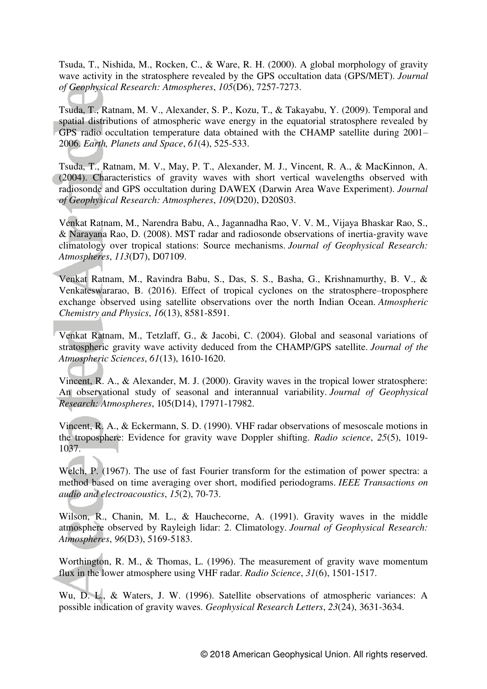Tsuda, T., Nishida, M., Rocken, C., & Ware, R. H. (2000). A global morphology of gravity wave activity in the stratosphere revealed by the GPS occultation data (GPS/MET). *Journal of Geophysical Research: Atmospheres*, *105*(D6), 7257-7273.

Tsuda, T., Ratnam, M. V., Alexander, S. P., Kozu, T., & Takayabu, Y. (2009). Temporal and spatial distributions of atmospheric wave energy in the equatorial stratosphere revealed by GPS radio occultation temperature data obtained with the CHAMP satellite during 2001– 2006. *Earth, Planets and Space*, *61*(4), 525-533.

Tsuda, T., Ratnam, M. V., May, P. T., Alexander, M. J., Vincent, R. A., & MacKinnon, A. (2004). Characteristics of gravity waves with short vertical wavelengths observed with radiosonde and GPS occultation during DAWEX (Darwin Area Wave Experiment). *Journal of Geophysical Research: Atmospheres*, *109*(D20), D20S03.

Venkat Ratnam, M., Narendra Babu, A., Jagannadha Rao, V. V. M., Vijaya Bhaskar Rao, S., & Narayana Rao, D. (2008). MST radar and radiosonde observations of inertia-gravity wave climatology over tropical stations: Source mechanisms. *Journal of Geophysical Research: Atmospheres*, *113*(D7), D07109.

Venkat Ratnam, M., Ravindra Babu, S., Das, S. S., Basha, G., Krishnamurthy, B. V., & Venkateswararao, B. (2016). Effect of tropical cyclones on the stratosphere–troposphere exchange observed using satellite observations over the north Indian Ocean. *Atmospheric Chemistry and Physics*, *16*(13), 8581-8591.

Venkat Ratnam, M., Tetzlaff, G., & Jacobi, C. (2004). Global and seasonal variations of stratospheric gravity wave activity deduced from the CHAMP/GPS satellite. *Journal of the Atmospheric Sciences*, *61*(13), 1610-1620.

Vincent, R. A., & Alexander, M. J. (2000). Gravity waves in the tropical lower stratosphere: An observational study of seasonal and interannual variability. *Journal of Geophysical Research: Atmospheres*, 105(D14), 17971-17982.

Vincent, R. A., & Eckermann, S. D. (1990). VHF radar observations of mesoscale motions in the troposphere: Evidence for gravity wave Doppler shifting. *Radio science*, *25*(5), 1019- 1037.

Welch, P. (1967). The use of fast Fourier transform for the estimation of power spectra: a method based on time averaging over short, modified periodograms. *IEEE Transactions on audio and electroacoustics*, *15*(2), 70-73.

Wilson, R., Chanin, M. L., & Hauchecorne, A. (1991). Gravity waves in the middle atmosphere observed by Rayleigh lidar: 2. Climatology. *Journal of Geophysical Research: Atmospheres*, *96*(D3), 5169-5183.

Worthington, R. M., & Thomas, L. (1996). The measurement of gravity wave momentum flux in the lower atmosphere using VHF radar. *Radio Science*, *31*(6), 1501-1517.

Wu, D. L., & Waters, J. W. (1996). Satellite observations of atmospheric variances: A possible indication of gravity waves. *Geophysical Research Letters*, *23*(24), 3631-3634.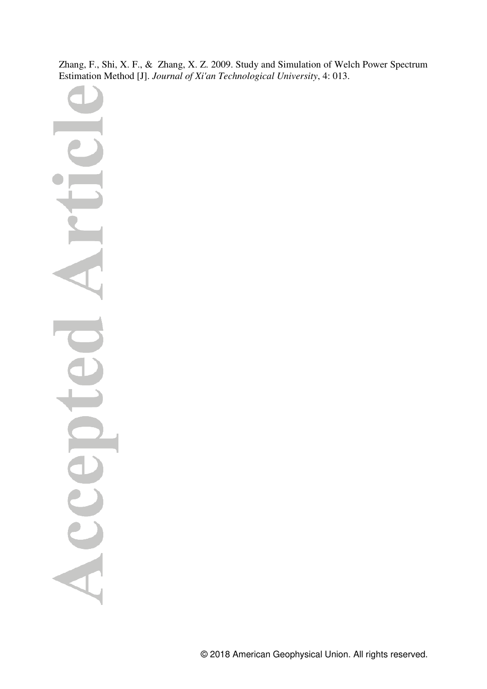Zhang, F., Shi, X. F., & Zhang, X. Z. 2009. Study and Simulation of Welch Power Spectrum Estimation Method [J]. *Journal of Xi'an Technological University*, 4: 013.

Acc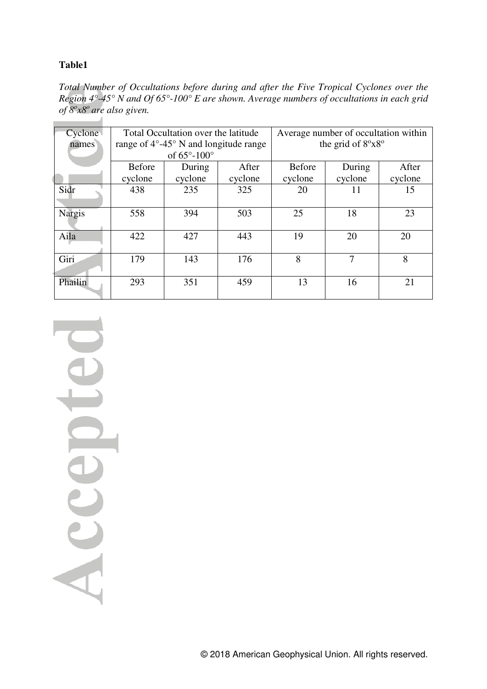# **Table1**

*Total Number of Occultations before during and after the Five Tropical Cyclones over the Region 4°-45° N and Of 65°-100° E are shown. Average numbers of occultations in each grid of 8<sup>o</sup> x8<sup>o</sup>are also given.* 

| Cyclone.      |               | Total Occultation over the latitude             |         | Average number of occultation within |         |         |  |  |  |  |  |  |
|---------------|---------------|-------------------------------------------------|---------|--------------------------------------|---------|---------|--|--|--|--|--|--|
| names         |               | range of $4^{\circ}$ -45° N and longitude range |         | the grid of $8^{\circ}x8^{\circ}$    |         |         |  |  |  |  |  |  |
|               |               | of $65^{\circ}$ -100 $^{\circ}$                 |         |                                      |         |         |  |  |  |  |  |  |
|               | <b>Before</b> | During                                          | After   | <b>Before</b>                        | During  | After   |  |  |  |  |  |  |
|               | cyclone       | cyclone                                         | cyclone | cyclone                              | cyclone | cyclone |  |  |  |  |  |  |
| Sidr          | 438           | 235                                             | 325     | 20                                   | 11      | 15      |  |  |  |  |  |  |
|               |               |                                                 |         |                                      |         |         |  |  |  |  |  |  |
| <b>Nargis</b> | 558           | 394                                             | 503     | 25                                   | 18      | 23      |  |  |  |  |  |  |
|               |               |                                                 |         |                                      |         |         |  |  |  |  |  |  |
| Aila          | 422           | 427                                             | 443     | 19                                   | 20      | 20      |  |  |  |  |  |  |
|               |               |                                                 |         |                                      |         |         |  |  |  |  |  |  |
| Giri          | 179           | 143                                             | 176     | 8                                    | 7       | 8       |  |  |  |  |  |  |
|               |               |                                                 |         |                                      |         |         |  |  |  |  |  |  |
| Phailin       | 293           | 351                                             | 459     | 13                                   | 16      | 21      |  |  |  |  |  |  |
|               |               |                                                 |         |                                      |         |         |  |  |  |  |  |  |

Acce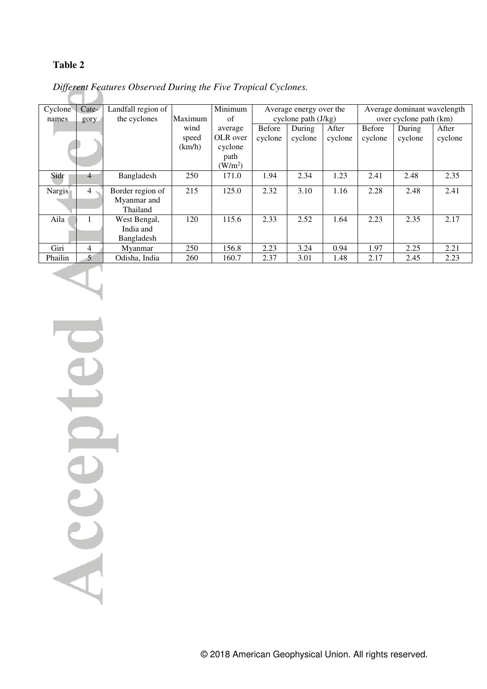# **Table 2**

| Cyclone | Cate-     | Landfall region of | Minimum |           | Average energy over the |         |         | Average dominant wavelength |         |         |
|---------|-----------|--------------------|---------|-----------|-------------------------|---------|---------|-----------------------------|---------|---------|
| names   | gory      | the cyclones       | Maximum | of        | cyclone path $(J/kg)$   |         |         | over cyclone path (km)      |         |         |
|         |           |                    | wind    | average   | Before                  | During  | After   | <b>Before</b>               | During  | After   |
|         |           |                    | speed   | OLR over  | cyclone                 | cyclone | cyclone | cyclone                     | cyclone | cyclone |
|         |           |                    | (km/h)  | cyclone   |                         |         |         |                             |         |         |
|         |           |                    |         | path      |                         |         |         |                             |         |         |
|         |           |                    |         | $(W/m^2)$ |                         |         |         |                             |         |         |
| Sidr    | 4         | Bangladesh         | 250     | 171.0     | 1.94                    | 2.34    | 1.23    | 2.41                        | 2.48    | 2.35    |
| Nargis  | $4 \cdot$ | Border region of   | 215     | 125.0     | 2.32                    | 3.10    | 1.16    | 2.28                        | 2.48    | 2.41    |
|         |           | Myanmar and        |         |           |                         |         |         |                             |         |         |
|         |           | Thailand           |         |           |                         |         |         |                             |         |         |
|         |           |                    |         |           |                         |         |         |                             |         |         |
| Aila    |           | West Bengal,       | 120     | 115.6     | 2.33                    | 2.52    | 1.64    | 2.23                        | 2.35    | 2.17    |
|         |           | India and          |         |           |                         |         |         |                             |         |         |
|         |           | Bangladesh         |         |           |                         |         |         |                             |         |         |
| Giri    | 4         | Myanmar            | 250     | 156.8     | 2.23                    | 3.24    | 0.94    | 1.97                        | 2.25    | 2.21    |
| Phailin | 5         | Odisha, India      | 260     | 160.7     | 2.37                    | 3.01    | 1.48    | 2.17                        | 2.45    | 2.23    |

 *Different Features Observed During the Five Tropical Cyclones.* 

U Accep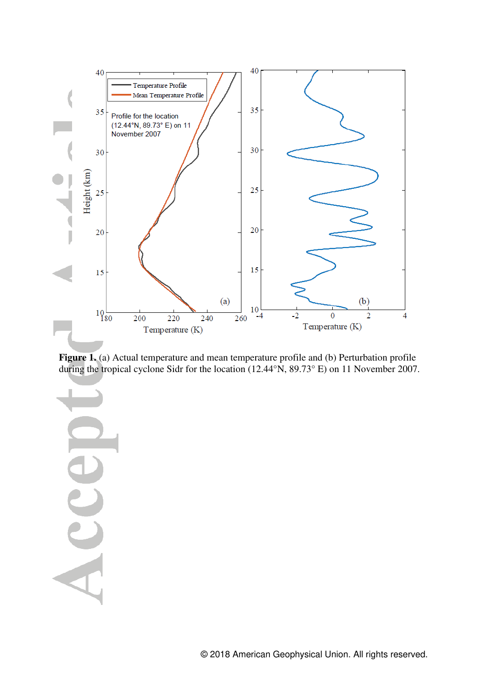

**Figure 1.** (a) Actual temperature and mean temperature profile and (b) Perturbation profile during the tropical cyclone Sidr for the location (12.44°N, 89.73° E) on 11 November 2007.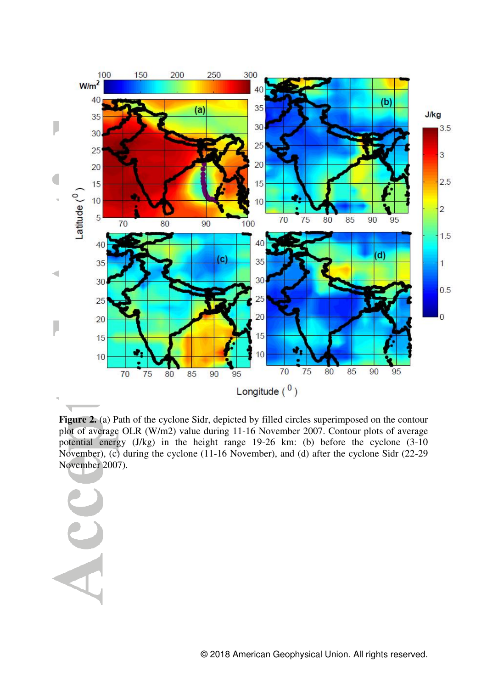

**Figure 2.** (a) Path of the cyclone Sidr, depicted by filled circles superimposed on the contour plot of average OLR (W/m2) value during 11-16 November 2007. Contour plots of average potential energy (J/kg) in the height range 19-26 km: (b) before the cyclone (3-10 November), (c) during the cyclone (11-16 November), and (d) after the cyclone Sidr (22-29 November 2007).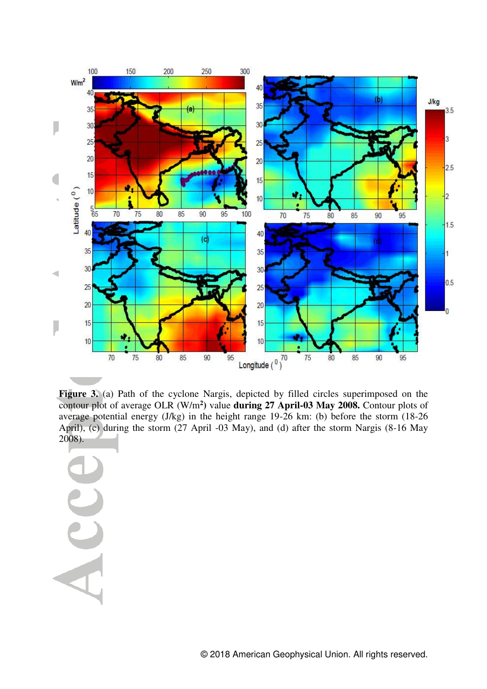

**Figure 3.** (a) Path of the cyclone Nargis, depicted by filled circles superimposed on the contour plot of average OLR (W/m**<sup>2</sup> )** value **during 27 April-03 May 2008.** Contour plots of average potential energy (J/kg) in the height range 19-26 km: (b) before the storm (18-26 April), (c) during the storm (27 April -03 May), and (d) after the storm Nargis (8-16 May 2008).

ACC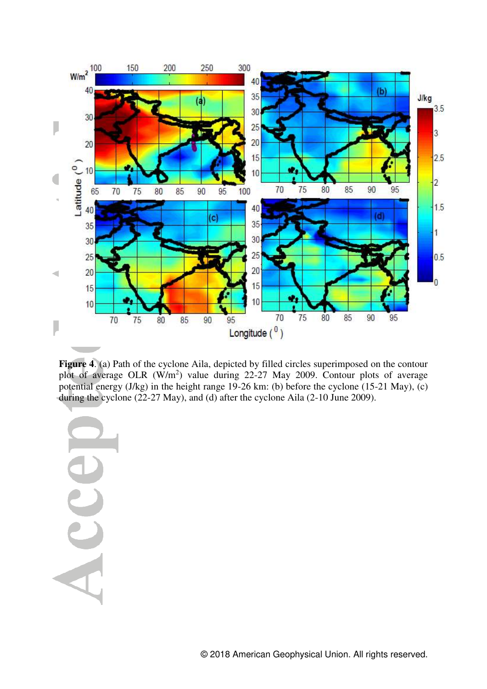

**Figure 4**. (a) Path of the cyclone Aila, depicted by filled circles superimposed on the contour plot of average OLR  $(W/m^2)$  value during 22-27 May 2009. Contour plots of average potential energy  $(J/kg)$  in the height range 19-26 km: (b) before the cyclone  $(15-21$  May),  $(c)$ during the cyclone (22-27 May), and (d) after the cyclone Aila (2-10 June 2009).

Acc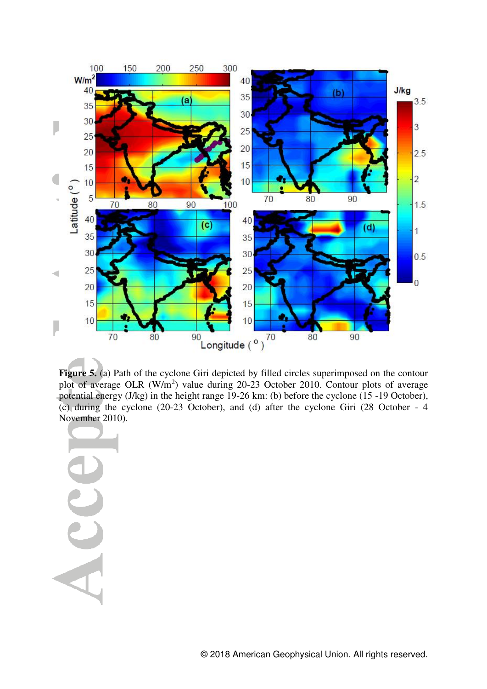

Figure 5. (a) Path of the cyclone Giri depicted by filled circles superimposed on the contour plot of average OLR  $(W/m^2)$  value during 20-23 October 2010. Contour plots of average potential energy (J/kg) in the height range 19-26 km: (b) before the cyclone (15 -19 October), (c) during the cyclone (20-23 October), and (d) after the cyclone Giri (28 October - 4 November 2010).

AC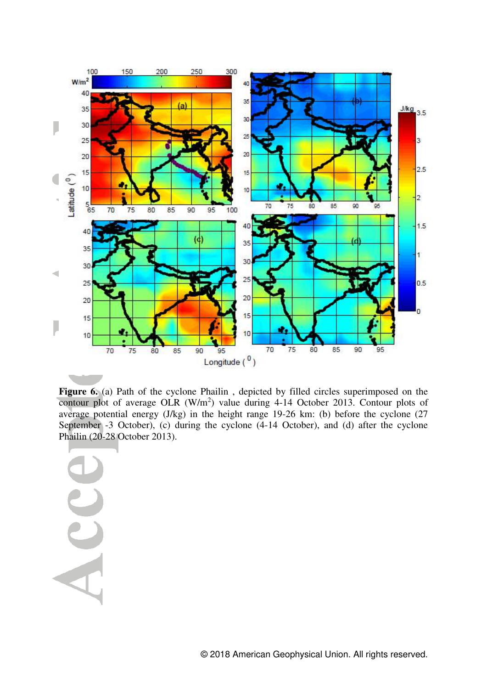

Figure 6. (a) Path of the cyclone Phailin, depicted by filled circles superimposed on the contour plot of average OLR  $(W/m^2)$  value during 4-14 October 2013. Contour plots of average potential energy (J/kg) in the height range 19-26 km: (b) before the cyclone (27 September -3 October), (c) during the cyclone (4-14 October), and (d) after the cyclone Phailin (20-28 October 2013).

ACC